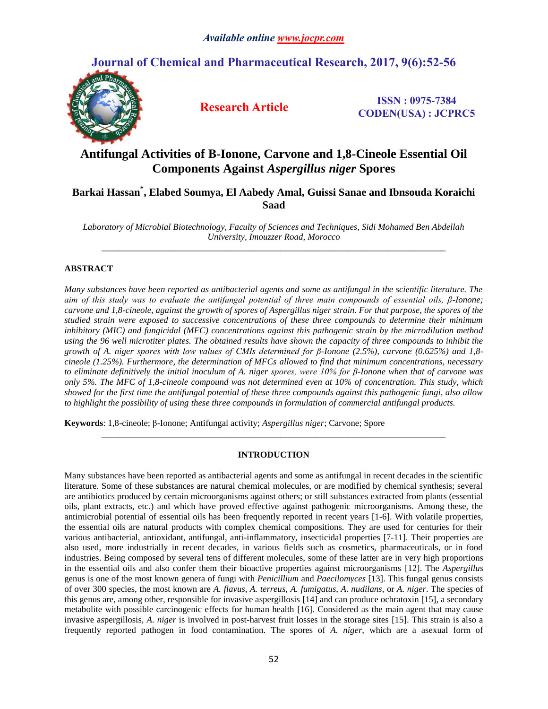# **Journal of Chemical and Pharmaceutical Research, 2017, 9(6):52-56**



**Research Article ISSN : 0975-7384 CODEN(USA) : JCPRC5**

# **Antifungal Activities of Β-Ionone, Carvone and 1,8-Cineole Essential Oil Components Against** *Aspergillus niger* **Spores**

# **Barkai Hassan\* , Elabed Soumya, El Aabedy Amal, Guissi Sanae and Ibnsouda Koraichi Saad**

*Laboratory of Microbial Biotechnology, Faculty of Sciences and Techniques, Sidi Mohamed Ben Abdellah University, Imouzzer Road, Morocco \_\_\_\_\_\_\_\_\_\_\_\_\_\_\_\_\_\_\_\_\_\_\_\_\_\_\_\_\_\_\_\_\_\_\_\_\_\_\_\_\_\_\_\_\_\_\_\_\_\_\_\_\_\_\_\_\_\_\_\_\_\_\_\_\_\_\_\_\_\_\_\_\_\_\_\_\_*

## **ABSTRACT**

*Many substances have been reported as antibacterial agents and some as antifungal in the scientific literature. The aim of this study was to evaluate the antifungal potential of three main compounds of essential oils, β-Ionone; carvone and 1,8-cineole, against the growth of spores of Aspergillus niger strain. For that purpose, the spores of the studied strain were exposed to successive concentrations of these three compounds to determine their minimum inhibitory (MIC) and fungicidal (MFC) concentrations against this pathogenic strain by the microdilution method using the 96 well microtiter plates. The obtained results have shown the capacity of three compounds to inhibit the growth of A. niger spores with low values of CMIs determined for β-Ionone (2.5%), carvone (0.625%) and 1,8 cineole (1.25%). Furthermore, the determination of MFCs allowed to find that minimum concentrations, necessary to eliminate definitively the initial inoculum of A. niger spores, were 10% for β-Ionone when that of carvone was only 5%. The MFC of 1,8-cineole compound was not determined even at 10% of concentration. This study, which showed for the first time the antifungal potential of these three compounds against this pathogenic fungi, also allow to highlight the possibility of using these three compounds in formulation of commercial antifungal products.*

**Keywords**: 1,8-cineole; β-Ionone; Antifungal activity; *Aspergillus niger*; Carvone; Spore

### **INTRODUCTION**

*\_\_\_\_\_\_\_\_\_\_\_\_\_\_\_\_\_\_\_\_\_\_\_\_\_\_\_\_\_\_\_\_\_\_\_\_\_\_\_\_\_\_\_\_\_\_\_\_\_\_\_\_\_\_\_\_\_\_\_\_\_\_\_\_\_\_\_\_\_\_\_\_\_\_\_\_\_*

Many substances have been reported as antibacterial agents and some as antifungal in recent decades in the scientific literature. Some of these substances are natural chemical molecules, or are modified by chemical synthesis; several are antibiotics produced by certain microorganisms against others; or still substances extracted from plants (essential oils, plant extracts, etc.) and which have proved effective against pathogenic microorganisms. Among these, the antimicrobial potential of essential oils has been frequently reported in recent years [1-6]. With volatile properties, the essential oils are natural products with complex chemical compositions. They are used for centuries for their various antibacterial, antioxidant, antifungal, anti-inflammatory, insecticidal properties [7-11]. Their properties are also used, more industrially in recent decades, in various fields such as cosmetics, pharmaceuticals, or in food industries. Being composed by several tens of different molecules, some of these latter are in very high proportions in the essential oils and also confer them their bioactive properties against microorganisms [12]. The *Aspergillus*  genus is one of the most known genera of fungi with *Penicillium* and *Paecilomyces* [13]. This fungal genus consists of over 300 species, the most known are *A. flavus*, *A. terreus*, *A. fumigatus*, *A. nudilans*, or *A. niger*. The species of this genus are, among other, responsible for invasive aspergillosis [14] and can produce ochratoxin [15], a secondary metabolite with possible carcinogenic effects for human health [16]. Considered as the main agent that may cause invasive aspergillosis, *A. niger* is involved in post-harvest fruit losses in the storage sites [15]. This strain is also a frequently reported pathogen in food contamination. The spores of *A. niger*, which are a asexual form of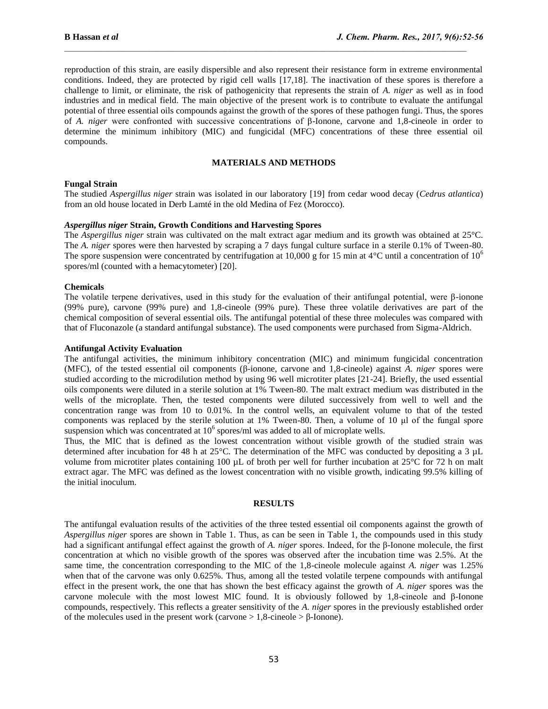reproduction of this strain, are easily dispersible and also represent their resistance form in extreme environmental conditions. Indeed, they are protected by rigid cell walls [17,18]. The inactivation of these spores is therefore a challenge to limit, or eliminate, the risk of pathogenicity that represents the strain of *A. niger* as well as in food industries and in medical field. The main objective of the present work is to contribute to evaluate the antifungal potential of three essential oils compounds against the growth of the spores of these pathogen fungi. Thus, the spores of *A. niger* were confronted with successive concentrations of β-Ionone, carvone and 1,8-cineole in order to determine the minimum inhibitory (MIC) and fungicidal (MFC) concentrations of these three essential oil compounds.

#### **MATERIALS AND METHODS**

#### **Fungal Strain**

The studied *Aspergillus niger* strain was isolated in our laboratory [19] from cedar wood decay (*Cedrus atlantica*) from an old house located in Derb Lamté in the old Medina of Fez (Morocco).

#### *Aspergillus niger* **Strain, Growth Conditions and Harvesting Spores**

The *Aspergillus niger* strain was cultivated on the malt extract agar medium and its growth was obtained at 25°C. The *A. niger* spores were then harvested by scraping a 7 days fungal culture surface in a sterile 0.1% of Tween-80. The spore suspension were concentrated by centrifugation at 10,000 g for 15 min at  $4^{\circ}$ C until a concentration of  $10^6$ spores/ml (counted with a hemacytometer) [20].

#### **Chemicals**

The volatile terpene derivatives, used in this study for the evaluation of their antifungal potential, were β-ionone (99% pure), carvone (99% pure) and 1,8-cineole (99% pure). These three volatile derivatives are part of the chemical composition of several essential oils. The antifungal potential of these three molecules was compared with that of Fluconazole (a standard antifungal substance). The used components were purchased from Sigma-Aldrich.

#### **Antifungal Activity Evaluation**

The antifungal activities, the minimum inhibitory concentration (MIC) and minimum fungicidal concentration (MFC), of the tested essential oil components (β-ionone, carvone and 1,8-cineole) against *A. niger* spores were studied according to the microdilution method by using 96 well microtiter plates [21-24]. Briefly, the used essential oils components were diluted in a sterile solution at 1% Tween-80. The malt extract medium was distributed in the wells of the microplate. Then, the tested components were diluted successively from well to well and the concentration range was from 10 to 0.01%. In the control wells, an equivalent volume to that of the tested components was replaced by the sterile solution at 1% Tween-80. Then, a volume of 10 μl of the fungal spore suspension which was concentrated at  $10<sup>6</sup>$  spores/ml was added to all of microplate wells.

Thus, the MIC that is defined as the lowest concentration without visible growth of the studied strain was determined after incubation for 48 h at 25°C. The determination of the MFC was conducted by depositing a 3 µL volume from microtiter plates containing 100  $\mu$ L of broth per well for further incubation at 25 $\degree$ C for 72 h on malt extract agar. The MFC was defined as the lowest concentration with no visible growth, indicating 99.5% killing of the initial inoculum.

#### **RESULTS**

The antifungal evaluation results of the activities of the three tested essential oil components against the growth of *Aspergillus niger* spores are shown in Table 1. Thus, as can be seen in Table 1, the compounds used in this study had a significant antifungal effect against the growth of *A. niger* spores. Indeed, for the β-Ionone molecule, the first concentration at which no visible growth of the spores was observed after the incubation time was 2.5%. At the same time, the concentration corresponding to the MIC of the 1,8-cineole molecule against *A. niger* was 1.25% when that of the carvone was only 0.625%. Thus, among all the tested volatile terpene compounds with antifungal effect in the present work, the one that has shown the best efficacy against the growth of *A. niger* spores was the carvone molecule with the most lowest MIC found. It is obviously followed by 1,8-cineole and β-Ionone compounds, respectively. This reflects a greater sensitivity of the *A. niger* spores in the previously established order of the molecules used in the present work (carvone  $> 1.8$ -cineole  $> \beta$ -Ionone).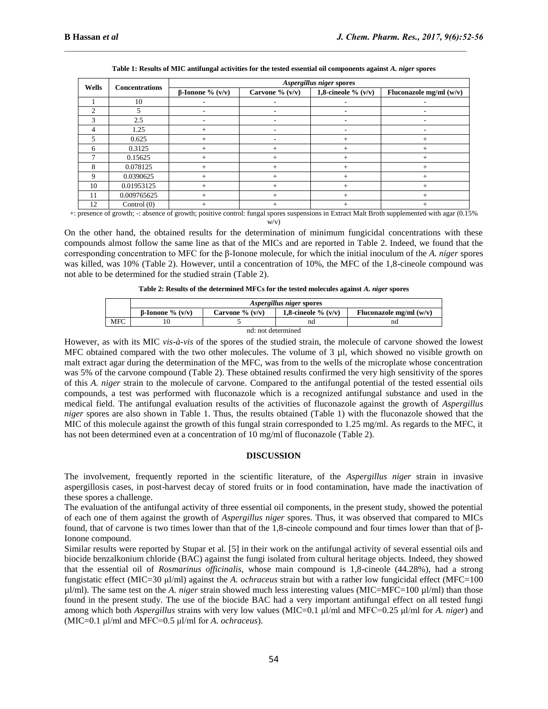| Wells | <b>Concentrations</b> | Aspergillus niger spores |                   |                       |                           |
|-------|-----------------------|--------------------------|-------------------|-----------------------|---------------------------|
|       |                       | $\beta$ -Ionone % (v/v)  | Carvone % $(v/v)$ | 1,8-cineole % $(v/v)$ | Fluconazole mg/ml $(w/v)$ |
|       | 10                    |                          |                   |                       |                           |
| ◠     |                       |                          |                   |                       |                           |
|       | 2.5                   |                          |                   | ۰                     |                           |
|       | 1.25                  | +                        |                   |                       |                           |
|       | 0.625                 | $^+$                     |                   | $^+$                  | $\,{}^+$                  |
| 6     | 0.3125                | $\overline{+}$           | $^+$              | $^+$                  |                           |
|       | 0.15625               | $^{+}$                   | $^{+}$            | $^+$                  | $^+$                      |
| 8     | 0.078125              |                          |                   |                       |                           |
| 9     | 0.0390625             | $^{+}$                   |                   | $^+$                  | $\,{}^+$                  |
| 10    | 0.01953125            | $+$                      | $^{+}$            | $^{+}$                | $+$                       |
| 11    | 0.009765625           |                          |                   |                       |                           |
| 12    | Control $(0)$         | +                        |                   |                       |                           |

**Table 1: Results of MIC antifungal activities for the tested essential oil components against** *A. niger* **spores**

+: presence of growth; -: absence of growth; positive control: fungal spores suspensions in Extract Malt Broth supplemented with agar (0.15% w/v)

On the other hand, the obtained results for the determination of minimum fungicidal concentrations with these compounds almost follow the same line as that of the MICs and are reported in Table 2. Indeed, we found that the corresponding concentration to MFC for the β-Ionone molecule, for which the initial inoculum of the *A. niger* spores was killed, was 10% (Table 2). However, until a concentration of 10%, the MFC of the 1,8-cineole compound was not able to be determined for the studied strain (Table 2).

**Table 2: Results of the determined MFCs for the tested molecules against** *A. niger* **spores**

|                    | Aspergillus niger spores  |                    |                        |                           |  |  |  |  |
|--------------------|---------------------------|--------------------|------------------------|---------------------------|--|--|--|--|
|                    | $\beta$ -Ionone % $(v/v)$ | Carvone $\%$ (v/v) | 1.8-cineole $\%$ (v/v) | Fluconazole mg/ml $(w/v)$ |  |  |  |  |
| MFC                |                           |                    | nd                     | nd                        |  |  |  |  |
| nd: not determined |                           |                    |                        |                           |  |  |  |  |

However, as with its MIC *vis-à-vis* of the spores of the studied strain, the molecule of carvone showed the lowest MFC obtained compared with the two other molecules. The volume of 3 µl, which showed no visible growth on malt extract agar during the determination of the MFC, was from to the wells of the microplate whose concentration was 5% of the carvone compound (Table 2). These obtained results confirmed the very high sensitivity of the spores of this *A. niger* strain to the molecule of carvone. Compared to the antifungal potential of the tested essential oils compounds, a test was performed with fluconazole which is a recognized antifungal substance and used in the medical field. The antifungal evaluation results of the activities of fluconazole against the growth of *Aspergillus niger* spores are also shown in Table 1. Thus, the results obtained (Table 1) with the fluconazole showed that the MIC of this molecule against the growth of this fungal strain corresponded to 1.25 mg/ml. As regards to the MFC, it has not been determined even at a concentration of 10 mg/ml of fluconazole (Table 2).

#### **DISCUSSION**

The involvement, frequently reported in the scientific literature, of the *Aspergillus niger* strain in invasive aspergillosis cases, in post-harvest decay of stored fruits or in food contamination, have made the inactivation of these spores a challenge.

The evaluation of the antifungal activity of three essential oil components, in the present study, showed the potential of each one of them against the growth of *Aspergillus niger* spores. Thus, it was observed that compared to MICs found, that of carvone is two times lower than that of the 1,8-cineole compound and four times lower than that of β-Ionone compound.

Similar results were reported by Stupar et al*.* [5] in their work on the antifungal activity of several essential oils and biocide benzalkonium chloride (BAC) against the fungi isolated from cultural heritage objects. Indeed, they showed that the essential oil of *Rosmarinus officinalis*, whose main compound is 1,8-cineole (44.28%), had a strong fungistatic effect (MIC=30 μl/ml) against the *A. ochraceus* strain but with a rather low fungicidal effect (MFC=100 µl/ml). The same test on the *A. niger* strain showed much less interesting values (MIC=MFC=100 µl/ml) than those found in the present study. The use of the biocide BAC had a very important antifungal effect on all tested fungi among which both *Aspergillus* strains with very low values (MIC=0.1 μl/ml and MFC=0.25 μl/ml for *A. niger*) and (MIC=0.1 μl/ml and MFC=0.5 μl/ml for *A. ochraceus*).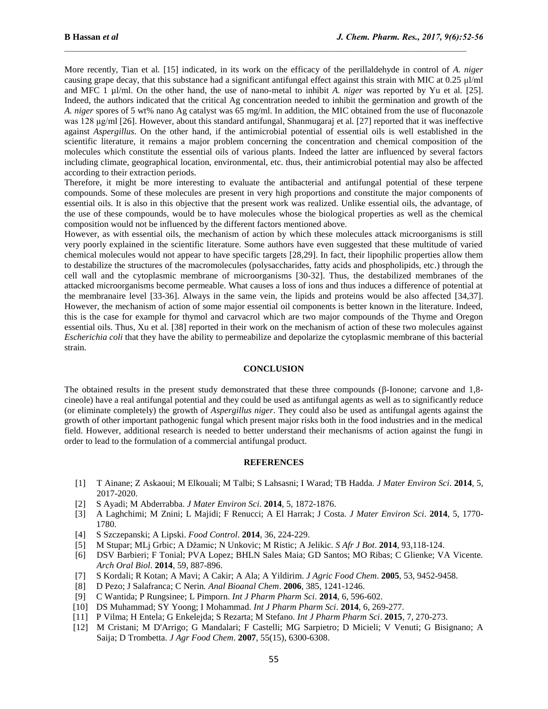More recently, Tian et al*.* [15] indicated, in its work on the efficacy of the perillaldehyde in control of *A. niger* causing grape decay, that this substance had a significant antifungal effect against this strain with MIC at 0.25 μl/ml and MFC 1 µl/ml. On the other hand, the use of nano-metal to inhibit *A. niger* was reported by Yu et al. [25]. Indeed, the authors indicated that the critical Ag concentration needed to inhibit the germination and growth of the *A. niger* spores of 5 wt% nano Ag catalyst was 65 mg/ml. In addition, the MIC obtained from the use of fluconazole was 128 μg/ml [26]. However, about this standard antifungal, Shanmugaraj et al*.* [27] reported that it was ineffective against *Aspergillus*. On the other hand, if the antimicrobial potential of essential oils is well established in the scientific literature, it remains a major problem concerning the concentration and chemical composition of the molecules which constitute the essential oils of various plants. Indeed the latter are influenced by several factors including climate, geographical location, environmental, etc. thus, their antimicrobial potential may also be affected according to their extraction periods.

Therefore, it might be more interesting to evaluate the antibacterial and antifungal potential of these terpene compounds. Some of these molecules are present in very high proportions and constitute the major components of essential oils. It is also in this objective that the present work was realized. Unlike essential oils, the advantage, of the use of these compounds, would be to have molecules whose the biological properties as well as the chemical composition would not be influenced by the different factors mentioned above.

However, as with essential oils, the mechanism of action by which these molecules attack microorganisms is still very poorly explained in the scientific literature. Some authors have even suggested that these multitude of varied chemical molecules would not appear to have specific targets [28,29]. In fact, their lipophilic properties allow them to destabilize the structures of the macromolecules (polysaccharides, fatty acids and phospholipids, etc.) through the cell wall and the cytoplasmic membrane of microorganisms [30-32]. Thus, the destabilized membranes of the attacked microorganisms become permeable. What causes a loss of ions and thus induces a difference of potential at the membranaire level [33-36]. Always in the same vein, the lipids and proteins would be also affected [34,37]. However, the mechanism of action of some major essential oil components is better known in the literature. Indeed, this is the case for example for thymol and carvacrol which are two major compounds of the Thyme and Oregon essential oils. Thus, Xu et al*.* [38] reported in their work on the mechanism of action of these two molecules against *Escherichia coli* that they have the ability to permeabilize and depolarize the cytoplasmic membrane of this bacterial strain.

### **CONCLUSION**

The obtained results in the present study demonstrated that these three compounds (β-Ionone; carvone and 1,8 cineole) have a real antifungal potential and they could be used as antifungal agents as well as to significantly reduce (or eliminate completely) the growth of *Aspergillus niger*. They could also be used as antifungal agents against the growth of other important pathogenic fungal which present major risks both in the food industries and in the medical field. However, additional research is needed to better understand their mechanisms of action against the fungi in order to lead to the formulation of a commercial antifungal product.

#### **REFERENCES**

- [1] T Ainane; Z Askaoui; M Elkouali; M Talbi; S Lahsasni; I Warad; TB Hadda. *J Mater Environ Sci*. **2014**, 5, 2017-2020.
- [2] S Ayadi; M Abderrabba. *J Mater Environ Sci*. **2014**, 5, 1872-1876.
- [3] A Laghchimi; M Znini; L Majidi; F Renucci; A El Harrak; J Costa. *J Mater Environ Sci*. **2014**, 5, 1770- 1780.
- [4] S Szczepanski; A Lipski. *Food Control*. **2014**, 36, 224-229.
- [5] M Stupar; MLj Grbic; A Džamic; N Unkovic; M Ristic; A Jelikic. *S Afr J Bot*. **2014**, 93,118-124.
- [6] DSV Barbieri; F Tonial; PVA Lopez; BHLN Sales Maia; GD Santos; MO Ribas; C Glienke; VA Vicente*. Arch Oral Biol*. **2014**, 59, 887-896.
- [7] S Kordali; R Kotan; A Mavi; A Cakir; A Ala; A Yildirim. *J Agric Food Chem*. **2005**, 53, 9452-9458.
- [8] D Pezo; J Salafranca; C Nerin*. Anal Bioanal Chem*. **2006**, 385, 1241-1246.
- [9] C Wantida; P Rungsinee; L Pimporn. *Int J Pharm Pharm Sci*. **2014**, 6, 596-602.
- [10] DS Muhammad; SY Yoong; I Mohammad. *Int J Pharm Pharm Sci*. **2014**, 6, 269-277.
- [11] P Vilma; H Entela; G Enkelejda; S Rezarta; M Stefano. *Int J Pharm Pharm Sci*. **2015**, 7, 270-273.
- [12] M Cristani; M D'Arrigo; G Mandalari; F Castelli; MG Sarpietro; D Micieli; V Venuti; G Bisignano; A Saija; D Trombetta. *J Agr Food Chem*. **2007**, 55(15), 6300-6308.